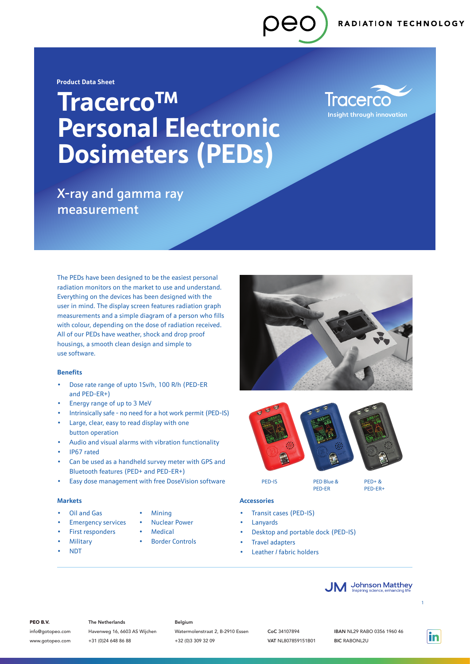# **Tracerco**TM **Personal Electronic Dosimeters (PEDs)**

**Tracerco Insight through innovation** 

X-ray and gamma ray measurement

The PEDs have been designed to be the easiest personal radiation monitors on the market to use and understand. Everything on the devices has been designed with the user in mind. The display screen features radiation graph measurements and a simple diagram of a person who fills with colour, depending on the dose of radiation received. All of our PEDs have weather, shock and drop proof housings, a smooth clean design and simple to use software.

### **Benefits**

- Dose rate range of upto 1Sv/h, 100 R/h (PED-ER and PED-ER+)
- Energy range of up to 3 MeV
- Intrinsically safe no need for a hot work permit (PED-IS)
- Large, clear, easy to read display with one button operation
- Audio and visual alarms with vibration functionality
- IP67 rated
- Can be used as a handheld survey meter with GPS and Bluetooth features (PED+ and PED-ER+)
- Easy dose management with free DoseVision software

#### **Markets**

- Oil and Gas
- **Emergency services**
- First responders
- **Military**
- NDT
- **Mining**
- Nuclear Power
- **Medical**
- **Border Controls**





PED-ER

PED-IS PED Blue &

 $DEFD + R$ PED-ER+

### **Accessories**

- Transit cases (PED-IS)
- **Lanyards** 
	- Desktop and portable dock (PED-IS)
	- Travel adapters
	- Leather / fabric holders



### PEO B.V.

info@gotopeo.com www.gotopeo.com The Netherlands

Havenweg 16, 6603 AS Wijchen +31 (0)24 648 86 88

#### Belgium

Watermolenstraat 2, B-2910 Essen +32 (0)3 309 32 09

CoC 34107894 VAT NL807859151B01

in

1